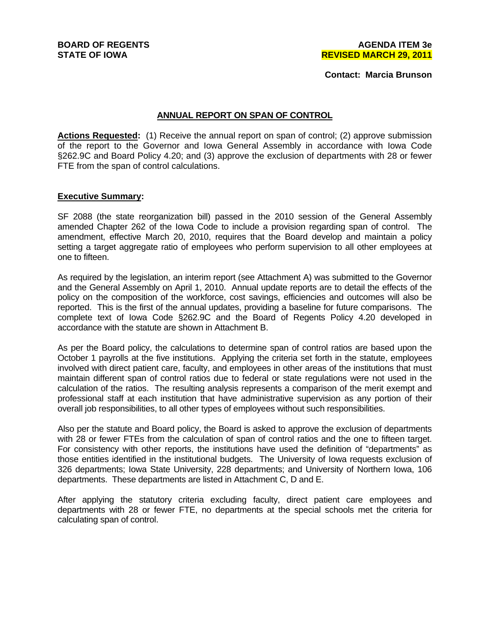**BOARD OF REGENTS STATE OF IOWA** 

**Contact: Marcia Brunson**

#### **ANNUAL REPORT ON SPAN OF CONTROL**

**Actions Requested:** (1) Receive the annual report on span of control; (2) approve submission of the report to the Governor and Iowa General Assembly in accordance with Iowa Code §262.9C and Board Policy 4.20; and (3) approve the exclusion of departments with 28 or fewer FTE from the span of control calculations.

#### **Executive Summary:**

SF 2088 (the state reorganization bill) passed in the 2010 session of the General Assembly amended Chapter 262 of the Iowa Code to include a provision regarding span of control. The amendment, effective March 20, 2010, requires that the Board develop and maintain a policy setting a target aggregate ratio of employees who perform supervision to all other employees at one to fifteen.

As required by the legislation, an interim report (see Attachment A) was submitted to the Governor and the General Assembly on April 1, 2010. Annual update reports are to detail the effects of the policy on the composition of the workforce, cost savings, efficiencies and outcomes will also be reported. This is the first of the annual updates, providing a baseline for future comparisons. The complete text of Iowa Code §262.9C and the Board of Regents Policy 4.20 developed in accordance with the statute are shown in Attachment B.

As per the Board policy, the calculations to determine span of control ratios are based upon the October 1 payrolls at the five institutions. Applying the criteria set forth in the statute, employees involved with direct patient care, faculty, and employees in other areas of the institutions that must maintain different span of control ratios due to federal or state regulations were not used in the calculation of the ratios. The resulting analysis represents a comparison of the merit exempt and professional staff at each institution that have administrative supervision as any portion of their overall job responsibilities, to all other types of employees without such responsibilities.

Also per the statute and Board policy, the Board is asked to approve the exclusion of departments with 28 or fewer FTEs from the calculation of span of control ratios and the one to fifteen target. For consistency with other reports, the institutions have used the definition of "departments" as those entities identified in the institutional budgets. The University of Iowa requests exclusion of 326 departments; Iowa State University, 228 departments; and University of Northern Iowa, 106 departments. These departments are listed in Attachment C, D and E.

After applying the statutory criteria excluding faculty, direct patient care employees and departments with 28 or fewer FTE, no departments at the special schools met the criteria for calculating span of control.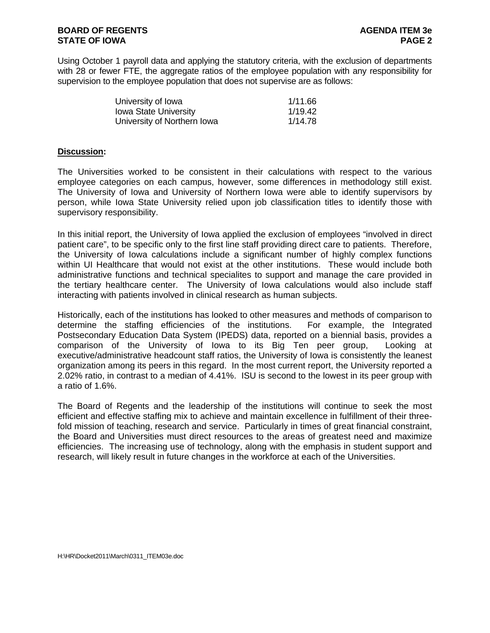Using October 1 payroll data and applying the statutory criteria, with the exclusion of departments with 28 or fewer FTE, the aggregate ratios of the employee population with any responsibility for supervision to the employee population that does not supervise are as follows:

| University of Iowa           | 1/11.66 |
|------------------------------|---------|
| <b>Iowa State University</b> | 1/19.42 |
| University of Northern Iowa  | 1/14.78 |

#### **Discussion:**

The Universities worked to be consistent in their calculations with respect to the various employee categories on each campus, however, some differences in methodology still exist. The University of Iowa and University of Northern Iowa were able to identify supervisors by person, while Iowa State University relied upon job classification titles to identify those with supervisory responsibility.

In this initial report, the University of Iowa applied the exclusion of employees "involved in direct patient care", to be specific only to the first line staff providing direct care to patients. Therefore, the University of Iowa calculations include a significant number of highly complex functions within UI Healthcare that would not exist at the other institutions. These would include both administrative functions and technical specialites to support and manage the care provided in the tertiary healthcare center. The University of Iowa calculations would also include staff interacting with patients involved in clinical research as human subjects.

Historically, each of the institutions has looked to other measures and methods of comparison to determine the staffing efficiencies of the institutions. For example, the Integrated Postsecondary Education Data System (IPEDS) data, reported on a biennial basis, provides a comparison of the University of Iowa to its Big Ten peer group, Looking at executive/administrative headcount staff ratios, the University of Iowa is consistently the leanest organization among its peers in this regard. In the most current report, the University reported a 2.02% ratio, in contrast to a median of 4.41%. ISU is second to the lowest in its peer group with a ratio of 1.6%.

The Board of Regents and the leadership of the institutions will continue to seek the most efficient and effective staffing mix to achieve and maintain excellence in fulfillment of their threefold mission of teaching, research and service. Particularly in times of great financial constraint, the Board and Universities must direct resources to the areas of greatest need and maximize efficiencies. The increasing use of technology, along with the emphasis in student support and research, will likely result in future changes in the workforce at each of the Universities.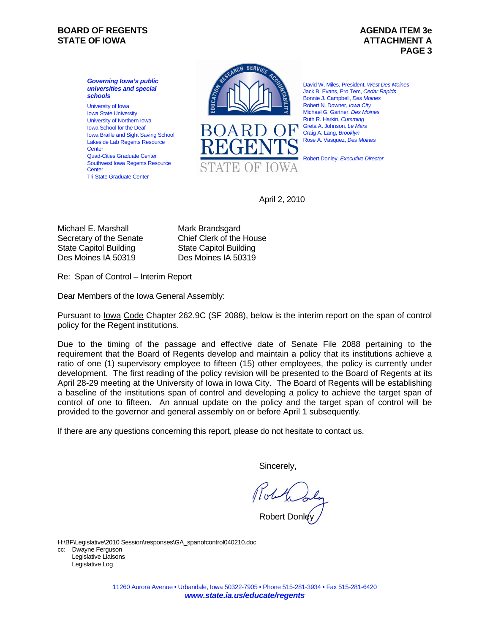### **BOARD OF REGENTS AGENUS AGENDA ITEM 3e STATE OF IOWA** AND **ATTACHMENT A**

# **PAGE 3**

*Governing Iowa's public universities and special schools*  University of Iowa Iowa State University University of Northern Iowa Iowa School for the Deaf Iowa Braille and Sight Saving School Lakeside Lab Regents Resource Center Quad-Cities Graduate Center Southwest Iowa Regents Resource Center Tri-State Graduate Center



David W. Miles, President, *West Des Moines*  Jack B. Evans, Pro Tem, *Cedar Rapids*  Bonnie J. Campbell, *Des Moines*  Robert N. Downer, *Iowa City*  Michael G. Gartner, *Des Moines*  Ruth R. Harkin, *Cumming*  Greta A. Johnson*, Le Mars*  Craig A. Lang, *Brooklyn*  Rose A. Vasquez, *Des Moines* 

Robert Donley, *Executive Director*

April 2, 2010

Michael E. Marshall Secretary of the Senate State Capitol Building Des Moines IA 50319

Mark Brandsgard Chief Clerk of the House State Capitol Building Des Moines IA 50319

Re: Span of Control – Interim Report

Dear Members of the Iowa General Assembly:

Pursuant to lowa Code Chapter 262.9C (SF 2088), below is the interim report on the span of control policy for the Regent institutions.

Due to the timing of the passage and effective date of Senate File 2088 pertaining to the requirement that the Board of Regents develop and maintain a policy that its institutions achieve a ratio of one (1) supervisory employee to fifteen (15) other employees, the policy is currently under development. The first reading of the policy revision will be presented to the Board of Regents at its April 28-29 meeting at the University of Iowa in Iowa City. The Board of Regents will be establishing a baseline of the institutions span of control and developing a policy to achieve the target span of control of one to fifteen. An annual update on the policy and the target span of control will be provided to the governor and general assembly on or before April 1 subsequently.

If there are any questions concerning this report, please do not hesitate to contact us.

Sincerely,

Robert Donley

H:\BF\Legislative\2010 Session\responses\GA\_spanofcontrol040210.doc cc: Dwayne Ferguson Legislative Liaisons Legislative Log

> 11260 Aurora Avenue • Urbandale, Iowa 50322-7905 • Phone 515-281-3934 • Fax 515-281-6420 *www.state.ia.us/educate/regents*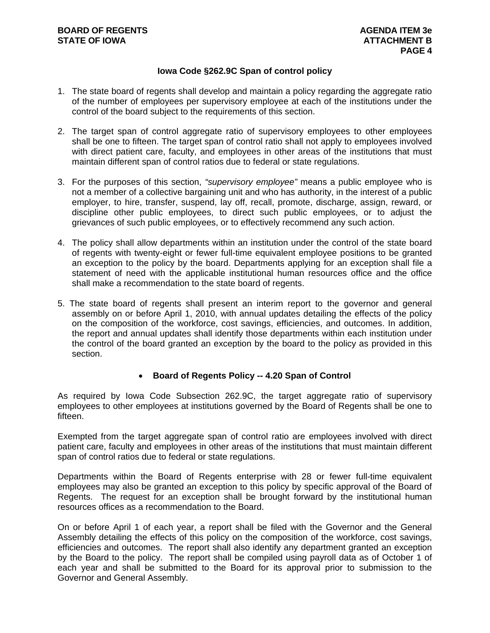## **Iowa Code §262.9C Span of control policy**

- 1. The state board of regents shall develop and maintain a policy regarding the aggregate ratio of the number of employees per supervisory employee at each of the institutions under the control of the board subject to the requirements of this section.
- 2. The target span of control aggregate ratio of supervisory employees to other employees shall be one to fifteen. The target span of control ratio shall not apply to employees involved with direct patient care, faculty, and employees in other areas of the institutions that must maintain different span of control ratios due to federal or state regulations.
- 3. For the purposes of this section, *"supervisory employee"* means a public employee who is not a member of a collective bargaining unit and who has authority, in the interest of a public employer, to hire, transfer, suspend, lay off, recall, promote, discharge, assign, reward, or discipline other public employees, to direct such public employees, or to adjust the grievances of such public employees, or to effectively recommend any such action.
- 4. The policy shall allow departments within an institution under the control of the state board of regents with twenty-eight or fewer full-time equivalent employee positions to be granted an exception to the policy by the board. Departments applying for an exception shall file a statement of need with the applicable institutional human resources office and the office shall make a recommendation to the state board of regents.
- 5. The state board of regents shall present an interim report to the governor and general assembly on or before April 1, 2010, with annual updates detailing the effects of the policy on the composition of the workforce, cost savings, efficiencies, and outcomes. In addition, the report and annual updates shall identify those departments within each institution under the control of the board granted an exception by the board to the policy as provided in this section.

## **Board of Regents Policy -- 4.20 Span of Control**

As required by Iowa Code Subsection 262.9C, the target aggregate ratio of supervisory employees to other employees at institutions governed by the Board of Regents shall be one to fifteen.

Exempted from the target aggregate span of control ratio are employees involved with direct patient care, faculty and employees in other areas of the institutions that must maintain different span of control ratios due to federal or state regulations.

Departments within the Board of Regents enterprise with 28 or fewer full-time equivalent employees may also be granted an exception to this policy by specific approval of the Board of Regents. The request for an exception shall be brought forward by the institutional human resources offices as a recommendation to the Board.

On or before April 1 of each year, a report shall be filed with the Governor and the General Assembly detailing the effects of this policy on the composition of the workforce, cost savings, efficiencies and outcomes. The report shall also identify any department granted an exception by the Board to the policy. The report shall be compiled using payroll data as of October 1 of each year and shall be submitted to the Board for its approval prior to submission to the Governor and General Assembly.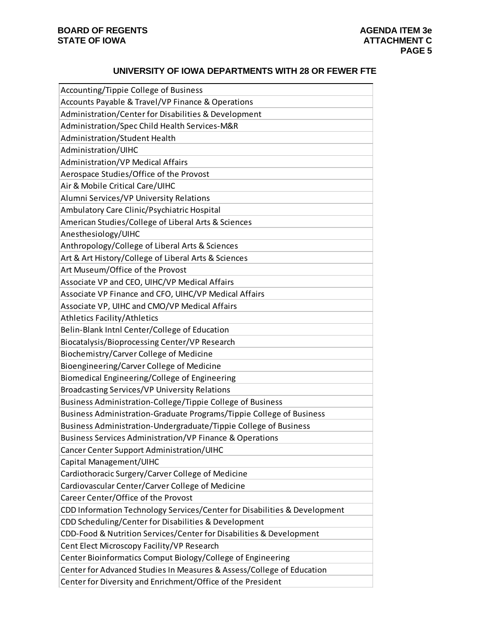## **UNIVERSITY OF IOWA DEPARTMENTS WITH 28 OR FEWER FTE**

| Accounting/Tippie College of Business                                     |
|---------------------------------------------------------------------------|
| Accounts Payable & Travel/VP Finance & Operations                         |
| Administration/Center for Disabilities & Development                      |
| Administration/Spec Child Health Services-M&R                             |
| Administration/Student Health                                             |
| Administration/UIHC                                                       |
| <b>Administration/VP Medical Affairs</b>                                  |
| Aerospace Studies/Office of the Provost                                   |
| Air & Mobile Critical Care/UIHC                                           |
| Alumni Services/VP University Relations                                   |
| Ambulatory Care Clinic/Psychiatric Hospital                               |
| American Studies/College of Liberal Arts & Sciences                       |
| Anesthesiology/UIHC                                                       |
| Anthropology/College of Liberal Arts & Sciences                           |
| Art & Art History/College of Liberal Arts & Sciences                      |
| Art Museum/Office of the Provost                                          |
| Associate VP and CEO, UIHC/VP Medical Affairs                             |
| Associate VP Finance and CFO, UIHC/VP Medical Affairs                     |
| Associate VP, UIHC and CMO/VP Medical Affairs                             |
| Athletics Facility/Athletics                                              |
| Belin-Blank Intnl Center/College of Education                             |
| Biocatalysis/Bioprocessing Center/VP Research                             |
| Biochemistry/Carver College of Medicine                                   |
| Bioengineering/Carver College of Medicine                                 |
| Biomedical Engineering/College of Engineering                             |
| Broadcasting Services/VP University Relations                             |
| Business Administration-College/Tippie College of Business                |
| Business Administration-Graduate Programs/Tippie College of Business      |
| Business Administration-Undergraduate/Tippie College of Business          |
| <b>Business Services Administration/VP Finance &amp; Operations</b>       |
| Cancer Center Support Administration/UIHC                                 |
| Capital Management/UIHC                                                   |
| Cardiothoracic Surgery/Carver College of Medicine                         |
| Cardiovascular Center/Carver College of Medicine                          |
| Career Center/Office of the Provost                                       |
| CDD Information Technology Services/Center for Disabilities & Development |
| CDD Scheduling/Center for Disabilities & Development                      |
| CDD-Food & Nutrition Services/Center for Disabilities & Development       |
| Cent Elect Microscopy Facility/VP Research                                |
| Center Bioinformatics Comput Biology/College of Engineering               |
| Center for Advanced Studies In Measures & Assess/College of Education     |
| Center for Diversity and Enrichment/Office of the President               |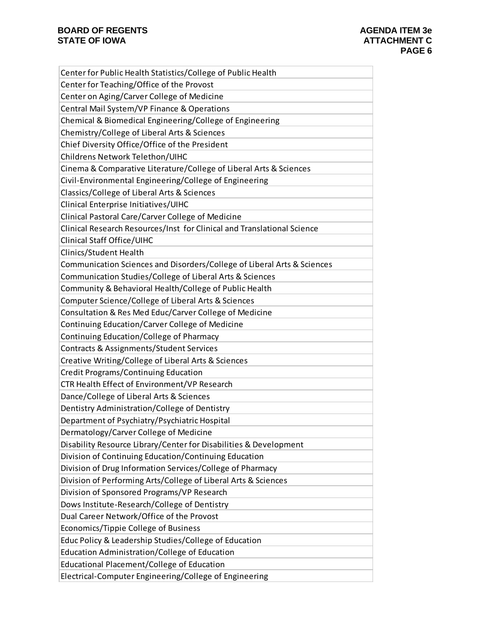| Center for Public Health Statistics/College of Public Health            |
|-------------------------------------------------------------------------|
| Center for Teaching/Office of the Provost                               |
| Center on Aging/Carver College of Medicine                              |
| Central Mail System/VP Finance & Operations                             |
| Chemical & Biomedical Engineering/College of Engineering                |
| Chemistry/College of Liberal Arts & Sciences                            |
| Chief Diversity Office/Office of the President                          |
| Childrens Network Telethon/UIHC                                         |
| Cinema & Comparative Literature/College of Liberal Arts & Sciences      |
| Civil-Environmental Engineering/College of Engineering                  |
| Classics/College of Liberal Arts & Sciences                             |
| Clinical Enterprise Initiatives/UIHC                                    |
| Clinical Pastoral Care/Carver College of Medicine                       |
| Clinical Research Resources/Inst for Clinical and Translational Science |
| Clinical Staff Office/UIHC                                              |
| Clinics/Student Health                                                  |
| Communication Sciences and Disorders/College of Liberal Arts & Sciences |
| Communication Studies/College of Liberal Arts & Sciences                |
| Community & Behavioral Health/College of Public Health                  |
| Computer Science/College of Liberal Arts & Sciences                     |
| Consultation & Res Med Educ/Carver College of Medicine                  |
| Continuing Education/Carver College of Medicine                         |
| Continuing Education/College of Pharmacy                                |
| Contracts & Assignments/Student Services                                |
| Creative Writing/College of Liberal Arts & Sciences                     |
| Credit Programs/Continuing Education                                    |
| CTR Health Effect of Environment/VP Research                            |
| Dance/College of Liberal Arts & Sciences                                |
| Dentistry Administration/College of Dentistry                           |
| Department of Psychiatry/Psychiatric Hospital                           |
| Dermatology/Carver College of Medicine                                  |
| Disability Resource Library/Center for Disabilities & Development       |
| Division of Continuing Education/Continuing Education                   |
| Division of Drug Information Services/College of Pharmacy               |
| Division of Performing Arts/College of Liberal Arts & Sciences          |
| Division of Sponsored Programs/VP Research                              |
| Dows Institute-Research/College of Dentistry                            |
| Dual Career Network/Office of the Provost                               |
| Economics/Tippie College of Business                                    |
| Educ Policy & Leadership Studies/College of Education                   |
| Education Administration/College of Education                           |
| Educational Placement/College of Education                              |
| Electrical-Computer Engineering/College of Engineering                  |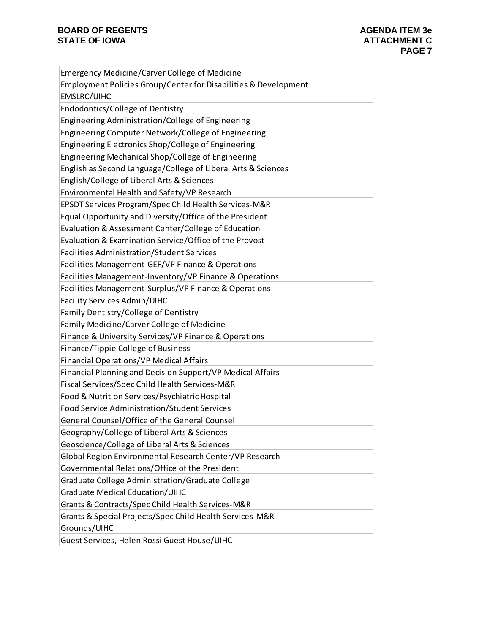| <b>Emergency Medicine/Carver College of Medicine</b>            |
|-----------------------------------------------------------------|
| Employment Policies Group/Center for Disabilities & Development |
| <b>EMSLRC/UIHC</b>                                              |
| Endodontics/College of Dentistry                                |
| Engineering Administration/College of Engineering               |
| Engineering Computer Network/College of Engineering             |
| Engineering Electronics Shop/College of Engineering             |
| Engineering Mechanical Shop/College of Engineering              |
| English as Second Language/College of Liberal Arts & Sciences   |
| English/College of Liberal Arts & Sciences                      |
| Environmental Health and Safety/VP Research                     |
| EPSDT Services Program/Spec Child Health Services-M&R           |
| Equal Opportunity and Diversity/Office of the President         |
| Evaluation & Assessment Center/College of Education             |
| Evaluation & Examination Service/Office of the Provost          |
| <b>Facilities Administration/Student Services</b>               |
| Facilities Management-GEF/VP Finance & Operations               |
| Facilities Management-Inventory/VP Finance & Operations         |
| Facilities Management-Surplus/VP Finance & Operations           |
| <b>Facility Services Admin/UIHC</b>                             |
| Family Dentistry/College of Dentistry                           |
| Family Medicine/Carver College of Medicine                      |
| Finance & University Services/VP Finance & Operations           |
| Finance/Tippie College of Business                              |
| Financial Operations/VP Medical Affairs                         |
| Financial Planning and Decision Support/VP Medical Affairs      |
| Fiscal Services/Spec Child Health Services-M&R                  |
| Food & Nutrition Services/Psychiatric Hospital                  |
| Food Service Administration/Student Services                    |
| General Counsel/Office of the General Counsel                   |
| Geography/College of Liberal Arts & Sciences                    |
| Geoscience/College of Liberal Arts & Sciences                   |
| Global Region Environmental Research Center/VP Research         |
| Governmental Relations/Office of the President                  |
| Graduate College Administration/Graduate College                |
| Graduate Medical Education/UIHC                                 |
| Grants & Contracts/Spec Child Health Services-M&R               |
| Grants & Special Projects/Spec Child Health Services-M&R        |
| Grounds/UIHC                                                    |
| Guest Services, Helen Rossi Guest House/UIHC                    |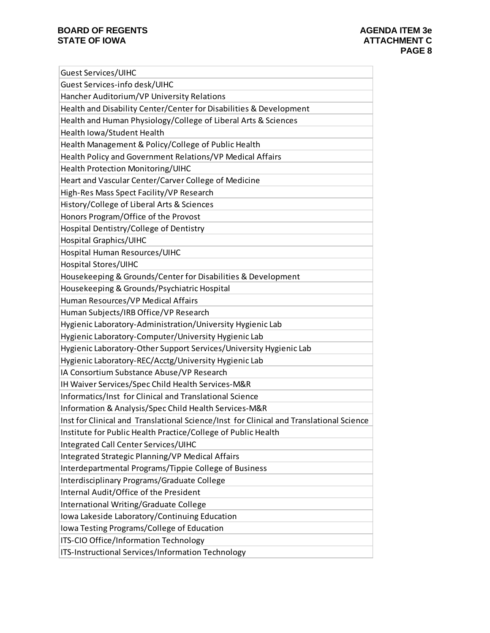| <b>Guest Services/UIHC</b>                                                              |
|-----------------------------------------------------------------------------------------|
| Guest Services-info desk/UIHC                                                           |
| Hancher Auditorium/VP University Relations                                              |
| Health and Disability Center/Center for Disabilities & Development                      |
| Health and Human Physiology/College of Liberal Arts & Sciences                          |
| Health Iowa/Student Health                                                              |
| Health Management & Policy/College of Public Health                                     |
| Health Policy and Government Relations/VP Medical Affairs                               |
| Health Protection Monitoring/UIHC                                                       |
| Heart and Vascular Center/Carver College of Medicine                                    |
| High-Res Mass Spect Facility/VP Research                                                |
| History/College of Liberal Arts & Sciences                                              |
| Honors Program/Office of the Provost                                                    |
| Hospital Dentistry/College of Dentistry                                                 |
| <b>Hospital Graphics/UIHC</b>                                                           |
| Hospital Human Resources/UIHC                                                           |
| <b>Hospital Stores/UIHC</b>                                                             |
| Housekeeping & Grounds/Center for Disabilities & Development                            |
| Housekeeping & Grounds/Psychiatric Hospital                                             |
| Human Resources/VP Medical Affairs                                                      |
| Human Subjects/IRB Office/VP Research                                                   |
| Hygienic Laboratory-Administration/University Hygienic Lab                              |
| Hygienic Laboratory-Computer/University Hygienic Lab                                    |
| Hygienic Laboratory-Other Support Services/University Hygienic Lab                      |
| Hygienic Laboratory-REC/Acctg/University Hygienic Lab                                   |
| IA Consortium Substance Abuse/VP Research                                               |
| IH Waiver Services/Spec Child Health Services-M&R                                       |
| Informatics/Inst for Clinical and Translational Science                                 |
| Information & Analysis/Spec Child Health Services-M&R                                   |
| Inst for Clinical and Translational Science/Inst for Clinical and Translational Science |
| Institute for Public Health Practice/College of Public Health                           |
| Integrated Call Center Services/UIHC                                                    |
| Integrated Strategic Planning/VP Medical Affairs                                        |
| Interdepartmental Programs/Tippie College of Business                                   |
| Interdisciplinary Programs/Graduate College                                             |
| Internal Audit/Office of the President                                                  |
| International Writing/Graduate College                                                  |
| Iowa Lakeside Laboratory/Continuing Education                                           |
| Iowa Testing Programs/College of Education                                              |
| ITS-CIO Office/Information Technology                                                   |
| ITS-Instructional Services/Information Technology                                       |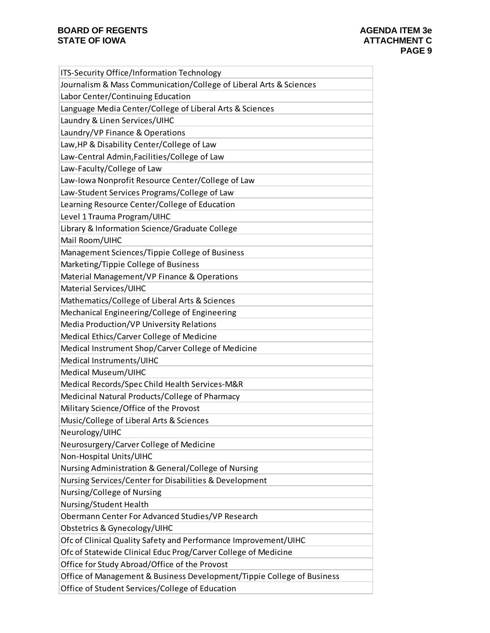| ITS-Security Office/Information Technology                             |
|------------------------------------------------------------------------|
| Journalism & Mass Communication/College of Liberal Arts & Sciences     |
| Labor Center/Continuing Education                                      |
| Language Media Center/College of Liberal Arts & Sciences               |
| Laundry & Linen Services/UIHC                                          |
| Laundry/VP Finance & Operations                                        |
| Law, HP & Disability Center/College of Law                             |
| Law-Central Admin, Facilities/College of Law                           |
| Law-Faculty/College of Law                                             |
| Law-Iowa Nonprofit Resource Center/College of Law                      |
| Law-Student Services Programs/College of Law                           |
| Learning Resource Center/College of Education                          |
| Level 1 Trauma Program/UIHC                                            |
| Library & Information Science/Graduate College                         |
| Mail Room/UIHC                                                         |
| Management Sciences/Tippie College of Business                         |
| Marketing/Tippie College of Business                                   |
| Material Management/VP Finance & Operations                            |
| Material Services/UIHC                                                 |
| Mathematics/College of Liberal Arts & Sciences                         |
| Mechanical Engineering/College of Engineering                          |
| Media Production/VP University Relations                               |
| Medical Ethics/Carver College of Medicine                              |
| Medical Instrument Shop/Carver College of Medicine                     |
| Medical Instruments/UIHC                                               |
| Medical Museum/UIHC                                                    |
| Medical Records/Spec Child Health Services-M&R                         |
| Medicinal Natural Products/College of Pharmacy                         |
| Military Science/Office of the Provost                                 |
| Music/College of Liberal Arts & Sciences                               |
| Neurology/UIHC                                                         |
| Neurosurgery/Carver College of Medicine                                |
| Non-Hospital Units/UIHC                                                |
| Nursing Administration & General/College of Nursing                    |
| Nursing Services/Center for Disabilities & Development                 |
| Nursing/College of Nursing                                             |
| Nursing/Student Health                                                 |
| Obermann Center For Advanced Studies/VP Research                       |
| Obstetrics & Gynecology/UIHC                                           |
| Ofc of Clinical Quality Safety and Performance Improvement/UIHC        |
| Ofc of Statewide Clinical Educ Prog/Carver College of Medicine         |
| Office for Study Abroad/Office of the Provost                          |
| Office of Management & Business Development/Tippie College of Business |
| Office of Student Services/College of Education                        |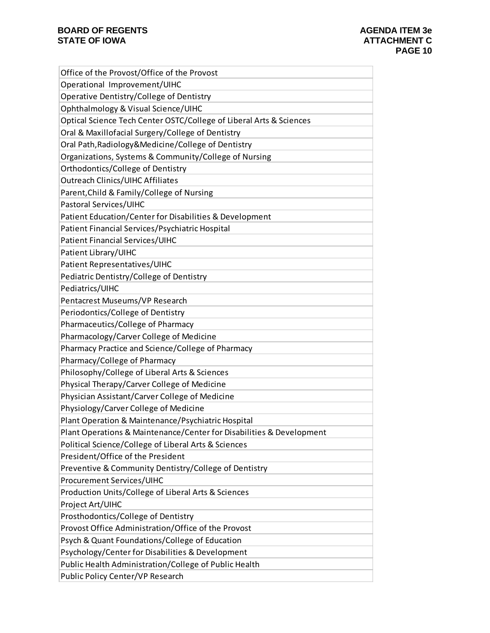| Office of the Provost/Office of the Provost                          |
|----------------------------------------------------------------------|
| Operational Improvement/UIHC                                         |
| Operative Dentistry/College of Dentistry                             |
| Ophthalmology & Visual Science/UIHC                                  |
| Optical Science Tech Center OSTC/College of Liberal Arts & Sciences  |
| Oral & Maxillofacial Surgery/College of Dentistry                    |
| Oral Path, Radiology & Medicine/College of Dentistry                 |
| Organizations, Systems & Community/College of Nursing                |
| Orthodontics/College of Dentistry                                    |
| <b>Outreach Clinics/UIHC Affiliates</b>                              |
| Parent, Child & Family/College of Nursing                            |
| Pastoral Services/UIHC                                               |
| Patient Education/Center for Disabilities & Development              |
| Patient Financial Services/Psychiatric Hospital                      |
| Patient Financial Services/UIHC                                      |
| Patient Library/UIHC                                                 |
| Patient Representatives/UIHC                                         |
| Pediatric Dentistry/College of Dentistry                             |
| Pediatrics/UIHC                                                      |
| Pentacrest Museums/VP Research                                       |
| Periodontics/College of Dentistry                                    |
| Pharmaceutics/College of Pharmacy                                    |
| Pharmacology/Carver College of Medicine                              |
| Pharmacy Practice and Science/College of Pharmacy                    |
| Pharmacy/College of Pharmacy                                         |
| Philosophy/College of Liberal Arts & Sciences                        |
| Physical Therapy/Carver College of Medicine                          |
| Physician Assistant/Carver College of Medicine                       |
| Physiology/Carver College of Medicine                                |
| Plant Operation & Maintenance/Psychiatric Hospital                   |
| Plant Operations & Maintenance/Center for Disabilities & Development |
| Political Science/College of Liberal Arts & Sciences                 |
| President/Office of the President                                    |
| Preventive & Community Dentistry/College of Dentistry                |
| <b>Procurement Services/UIHC</b>                                     |
| Production Units/College of Liberal Arts & Sciences                  |
| Project Art/UIHC                                                     |
| Prosthodontics/College of Dentistry                                  |
| Provost Office Administration/Office of the Provost                  |
| Psych & Quant Foundations/College of Education                       |
| Psychology/Center for Disabilities & Development                     |
| Public Health Administration/College of Public Health                |
| Public Policy Center/VP Research                                     |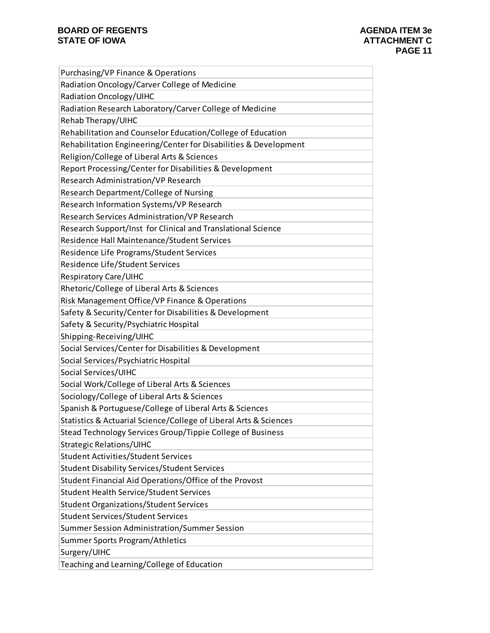| Purchasing/VP Finance & Operations                                |
|-------------------------------------------------------------------|
| Radiation Oncology/Carver College of Medicine                     |
| Radiation Oncology/UIHC                                           |
| Radiation Research Laboratory/Carver College of Medicine          |
| Rehab Therapy/UIHC                                                |
| Rehabilitation and Counselor Education/College of Education       |
| Rehabilitation Engineering/Center for Disabilities & Development  |
| Religion/College of Liberal Arts & Sciences                       |
| Report Processing/Center for Disabilities & Development           |
| Research Administration/VP Research                               |
| Research Department/College of Nursing                            |
| Research Information Systems/VP Research                          |
| Research Services Administration/VP Research                      |
| Research Support/Inst for Clinical and Translational Science      |
| Residence Hall Maintenance/Student Services                       |
| Residence Life Programs/Student Services                          |
| Residence Life/Student Services                                   |
| <b>Respiratory Care/UIHC</b>                                      |
| Rhetoric/College of Liberal Arts & Sciences                       |
| Risk Management Office/VP Finance & Operations                    |
| Safety & Security/Center for Disabilities & Development           |
| Safety & Security/Psychiatric Hospital                            |
| Shipping-Receiving/UIHC                                           |
| Social Services/Center for Disabilities & Development             |
| Social Services/Psychiatric Hospital                              |
| Social Services/UIHC                                              |
| Social Work/College of Liberal Arts & Sciences                    |
| Sociology/College of Liberal Arts & Sciences                      |
| Spanish & Portuguese/College of Liberal Arts & Sciences           |
| Statistics & Actuarial Science/College of Liberal Arts & Sciences |
| Stead Technology Services Group/Tippie College of Business        |
| <b>Strategic Relations/UIHC</b>                                   |
| <b>Student Activities/Student Services</b>                        |
| <b>Student Disability Services/Student Services</b>               |
| Student Financial Aid Operations/Office of the Provost            |
| <b>Student Health Service/Student Services</b>                    |
| <b>Student Organizations/Student Services</b>                     |
| <b>Student Services/Student Services</b>                          |
| Summer Session Administration/Summer Session                      |
| Summer Sports Program/Athletics                                   |
| Surgery/UIHC                                                      |
| Teaching and Learning/College of Education                        |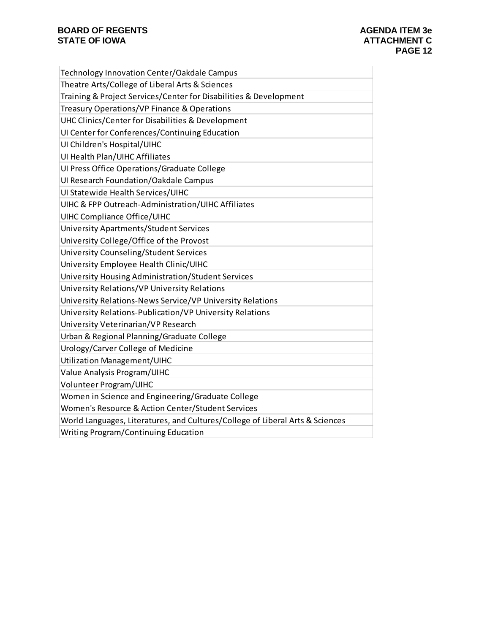| Technology Innovation Center/Oakdale Campus                                   |
|-------------------------------------------------------------------------------|
| Theatre Arts/College of Liberal Arts & Sciences                               |
| Training & Project Services/Center for Disabilities & Development             |
| Treasury Operations/VP Finance & Operations                                   |
| UHC Clinics/Center for Disabilities & Development                             |
| UI Center for Conferences/Continuing Education                                |
| UI Children's Hospital/UIHC                                                   |
| UI Health Plan/UIHC Affiliates                                                |
| Ul Press Office Operations/Graduate College                                   |
| Ul Research Foundation/Oakdale Campus                                         |
| UI Statewide Health Services/UIHC                                             |
| UIHC & FPP Outreach-Administration/UIHC Affiliates                            |
| <b>UIHC Compliance Office/UIHC</b>                                            |
| University Apartments/Student Services                                        |
| University College/Office of the Provost                                      |
| University Counseling/Student Services                                        |
| University Employee Health Clinic/UIHC                                        |
| University Housing Administration/Student Services                            |
| University Relations/VP University Relations                                  |
| University Relations-News Service/VP University Relations                     |
| University Relations-Publication/VP University Relations                      |
| University Veterinarian/VP Research                                           |
| Urban & Regional Planning/Graduate College                                    |
| Urology/Carver College of Medicine                                            |
| Utilization Management/UIHC                                                   |
| Value Analysis Program/UIHC                                                   |
| Volunteer Program/UIHC                                                        |
| Women in Science and Engineering/Graduate College                             |
| Women's Resource & Action Center/Student Services                             |
| World Languages, Literatures, and Cultures/College of Liberal Arts & Sciences |
| Writing Program/Continuing Education                                          |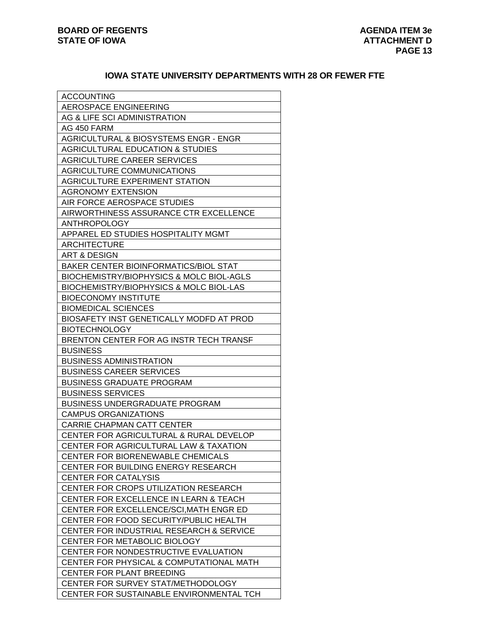## **IOWA STATE UNIVERSITY DEPARTMENTS WITH 28 OR FEWER FTE**

| <b>ACCOUNTING</b>                                                              |
|--------------------------------------------------------------------------------|
| AEROSPACE ENGINEERING                                                          |
| AG & LIFE SCI ADMINISTRATION                                                   |
| AG 450 FARM                                                                    |
| AGRICULTURAL & BIOSYSTEMS ENGR - ENGR                                          |
| AGRICULTURAL EDUCATION & STUDIES                                               |
| AGRICULTURE CAREER SERVICES                                                    |
| AGRICULTURE COMMUNICATIONS                                                     |
| AGRICULTURE EXPERIMENT STATION                                                 |
| <b>AGRONOMY EXTENSION</b>                                                      |
| AIR FORCE AEROSPACE STUDIES                                                    |
| AIRWORTHINESS ASSURANCE CTR EXCELLENCE                                         |
| <b>ANTHROPOLOGY</b>                                                            |
| APPAREL ED STUDIES HOSPITALITY MGMT                                            |
| <b>ARCHITECTURE</b>                                                            |
| ART & DESIGN                                                                   |
| BAKER CENTER BIOINFORMATICS/BIOL STAT                                          |
| <b>BIOCHEMISTRY/BIOPHYSICS &amp; MOLC BIOL-AGLS</b>                            |
| <b>BIOCHEMISTRY/BIOPHYSICS &amp; MOLC BIOL-LAS</b>                             |
| <b>BIOECONOMY INSTITUTE</b>                                                    |
| <b>BIOMEDICAL SCIENCES</b>                                                     |
| BIOSAFETY INST GENETICALLY MODFD AT PROD                                       |
| <b>BIOTECHNOLOGY</b>                                                           |
| BRENTON CENTER FOR AG INSTR TECH TRANSF                                        |
|                                                                                |
|                                                                                |
| <b>BUSINESS</b>                                                                |
| <b>BUSINESS ADMINISTRATION</b>                                                 |
| <b>BUSINESS CAREER SERVICES</b>                                                |
| <b>BUSINESS GRADUATE PROGRAM</b>                                               |
| <b>BUSINESS SERVICES</b>                                                       |
| <b>BUSINESS UNDERGRADUATE PROGRAM</b>                                          |
| CAMPUS ORGANIZATIONS                                                           |
| <b>CARRIE CHAPMAN CATT CENTER</b>                                              |
| CENTER FOR AGRICULTURAL & RURAL DEVELOP                                        |
| CENTER FOR AGRICULTURAL LAW & TAXATION                                         |
| <b>CENTER FOR BIORENEWABLE CHEMICALS</b>                                       |
| <b>CENTER FOR BUILDING ENERGY RESEARCH</b>                                     |
| <b>CENTER FOR CATALYSIS</b>                                                    |
| CENTER FOR CROPS UTILIZATION RESEARCH                                          |
| <b>CENTER FOR EXCELLENCE IN LEARN &amp; TEACH</b>                              |
| CENTER FOR EXCELLENCE/SCI, MATH ENGR ED                                        |
| CENTER FOR FOOD SECURITY/PUBLIC HEALTH                                         |
| CENTER FOR INDUSTRIAL RESEARCH & SERVICE                                       |
| CENTER FOR METABOLIC BIOLOGY                                                   |
| CENTER FOR NONDESTRUCTIVE EVALUATION                                           |
| CENTER FOR PHYSICAL & COMPUTATIONAL MATH                                       |
| CENTER FOR PLANT BREEDING                                                      |
| CENTER FOR SURVEY STAT/METHODOLOGY<br>CENTER FOR SUSTAINABLE ENVIRONMENTAL TCH |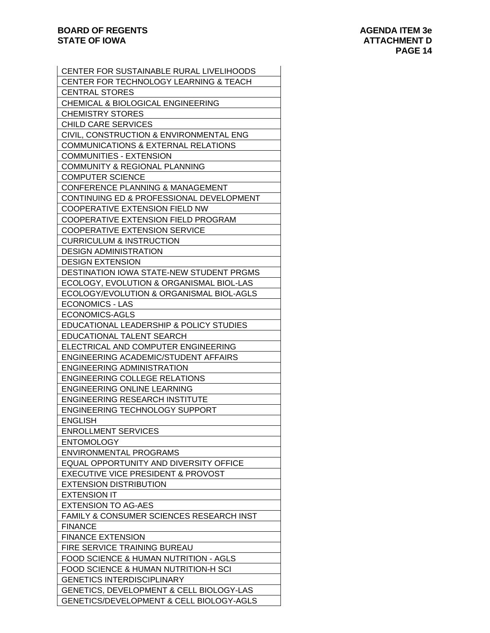| CENTER FOR SUSTAINABLE RURAL LIVELIHOODS            |
|-----------------------------------------------------|
| CENTER FOR TECHNOLOGY LEARNING & TEACH              |
| <b>CENTRAL STORES</b>                               |
| CHEMICAL & BIOLOGICAL ENGINEERING                   |
| <b>CHEMISTRY STORES</b>                             |
| <b>CHILD CARE SERVICES</b>                          |
| CIVIL, CONSTRUCTION & ENVIRONMENTAL ENG             |
| <b>COMMUNICATIONS &amp; EXTERNAL RELATIONS</b>      |
| <b>COMMUNITIES - EXTENSION</b>                      |
| COMMUNITY & REGIONAL PLANNING                       |
| <b>COMPUTER SCIENCE</b>                             |
| <b>CONFERENCE PLANNING &amp; MANAGEMENT</b>         |
| CONTINUING ED & PROFESSIONAL DEVELOPMENT            |
| <b>COOPERATIVE EXTENSION FIELD NW</b>               |
| COOPERATIVE EXTENSION FIELD PROGRAM                 |
|                                                     |
| <b>COOPERATIVE EXTENSION SERVICE</b>                |
| <b>CURRICULUM &amp; INSTRUCTION</b>                 |
| <b>DESIGN ADMINISTRATION</b>                        |
| <b>DESIGN EXTENSION</b>                             |
| DESTINATION IOWA STATE-NEW STUDENT PRGMS            |
| ECOLOGY, EVOLUTION & ORGANISMAL BIOL-LAS            |
| ECOLOGY/EVOLUTION & ORGANISMAL BIOL-AGLS            |
| <b>ECONOMICS - LAS</b>                              |
| ECONOMICS-AGLS                                      |
| EDUCATIONAL LEADERSHIP & POLICY STUDIES             |
| EDUCATIONAL TALENT SEARCH                           |
| ELECTRICAL AND COMPUTER ENGINEERING                 |
| ENGINEERING ACADEMIC/STUDENT AFFAIRS                |
| <b>ENGINEERING ADMINISTRATION</b>                   |
| <b>ENGINEERING COLLEGE RELATIONS</b>                |
| <b>ENGINEERING ONLINE LEARNING</b>                  |
| <b>ENGINEERING RESEARCH INSTITUTE</b>               |
| <b>ENGINEERING TECHNOLOGY SUPPORT</b>               |
| <b>ENGLISH</b>                                      |
| <b>ENROLLMENT SERVICES</b>                          |
| <b>ENTOMOLOGY</b>                                   |
| <b>ENVIRONMENTAL PROGRAMS</b>                       |
| <b>EQUAL OPPORTUNITY AND DIVERSITY OFFICE</b>       |
| <b>EXECUTIVE VICE PRESIDENT &amp; PROVOST</b>       |
| <b>EXTENSION DISTRIBUTION</b>                       |
| <b>EXTENSION IT</b>                                 |
| <b>EXTENSION TO AG-AES</b>                          |
| FAMILY & CONSUMER SCIENCES RESEARCH INST            |
| <b>FINANCE</b>                                      |
| <b>FINANCE EXTENSION</b>                            |
| FIRE SERVICE TRAINING BUREAU                        |
|                                                     |
| FOOD SCIENCE & HUMAN NUTRITION - AGLS               |
| FOOD SCIENCE & HUMAN NUTRITION-H SCI                |
| <b>GENETICS INTERDISCIPLINARY</b>                   |
| <b>GENETICS, DEVELOPMENT &amp; CELL BIOLOGY-LAS</b> |
| GENETICS/DEVELOPMENT & CELL BIOLOGY-AGLS            |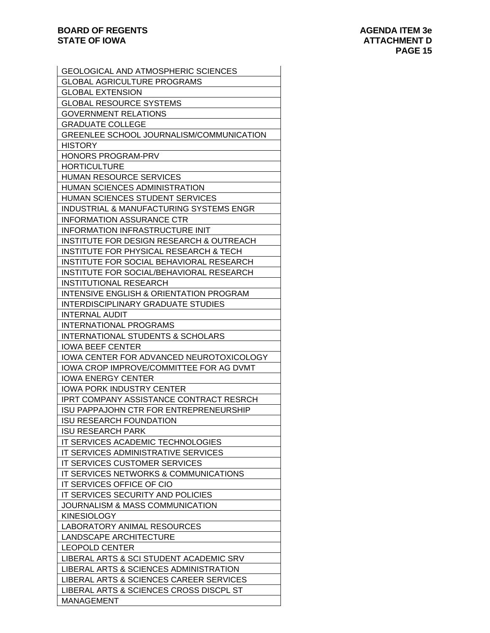| <b>GEOLOGICAL AND ATMOSPHERIC SCIENCES</b>                                         |
|------------------------------------------------------------------------------------|
| <b>GLOBAL AGRICULTURE PROGRAMS</b>                                                 |
| <b>GLOBAL EXTENSION</b>                                                            |
| <b>GLOBAL RESOURCE SYSTEMS</b>                                                     |
| <b>GOVERNMENT RELATIONS</b>                                                        |
| <b>GRADUATE COLLEGE</b>                                                            |
| GREENLEE SCHOOL JOURNALISM/COMMUNICATION                                           |
| <b>HISTORY</b>                                                                     |
| HONORS PROGRAM-PRV                                                                 |
| <b>HORTICULTURE</b>                                                                |
| <b>HUMAN RESOURCE SERVICES</b>                                                     |
| HUMAN SCIENCES ADMINISTRATION                                                      |
| HUMAN SCIENCES STUDENT SERVICES                                                    |
| INDUSTRIAL & MANUFACTURING SYSTEMS ENGR                                            |
| <b>INFORMATION ASSURANCE CTR</b>                                                   |
| INFORMATION INFRASTRUCTURE INIT                                                    |
|                                                                                    |
| INSTITUTE FOR DESIGN RESEARCH & OUTREACH<br>INSTITUTE FOR PHYSICAL RESEARCH & TECH |
| INSTITUTE FOR SOCIAL BEHAVIORAL RESEARCH                                           |
|                                                                                    |
| INSTITUTE FOR SOCIAL/BEHAVIORAL RESEARCH                                           |
| INSTITUTIONAL RESEARCH                                                             |
| INTENSIVE ENGLISH & ORIENTATION PROGRAM                                            |
| <b>INTERDISCIPLINARY GRADUATE STUDIES</b>                                          |
| <b>INTERNAL AUDIT</b>                                                              |
| <b>INTERNATIONAL PROGRAMS</b>                                                      |
| INTERNATIONAL STUDENTS & SCHOLARS                                                  |
| <b>IOWA BEEF CENTER</b>                                                            |
| IOWA CENTER FOR ADVANCED NEUROTOXICOLOGY                                           |
| IOWA CROP IMPROVE/COMMITTEE FOR AG DVMT                                            |
| <b>IOWA ENERGY CENTER</b>                                                          |
| <b>IOWA PORK INDUSTRY CENTER</b>                                                   |
| <b>IPRT COMPANY ASSISTANCE CONTRACT RESRCH</b>                                     |
| ISU PAPPAJOHN CTR FOR ENTREPRENEURSHIP                                             |
| ISU RESEARCH FOUNDATION                                                            |
| <b>ISU RESEARCH PARK</b>                                                           |
| IT SERVICES ACADEMIC TECHNOLOGIES                                                  |
| IT SERVICES ADMINISTRATIVE SERVICES                                                |
| IT SERVICES CUSTOMER SERVICES                                                      |
| IT SERVICES NETWORKS & COMMUNICATIONS                                              |
| IT SERVICES OFFICE OF CIO                                                          |
| IT SERVICES SECURITY AND POLICIES                                                  |
| JOURNALISM & MASS COMMUNICATION                                                    |
| <b>KINESIOLOGY</b>                                                                 |
| <b>LABORATORY ANIMAL RESOURCES</b>                                                 |
| LANDSCAPE ARCHITECTURE                                                             |
| <b>LEOPOLD CENTER</b>                                                              |
| LIBERAL ARTS & SCI STUDENT ACADEMIC SRV                                            |
| LIBERAL ARTS & SCIENCES ADMINISTRATION                                             |
| LIBERAL ARTS & SCIENCES CAREER SERVICES                                            |
| LIBERAL ARTS & SCIENCES CROSS DISCPL ST                                            |
| <b>MANAGEMENT</b>                                                                  |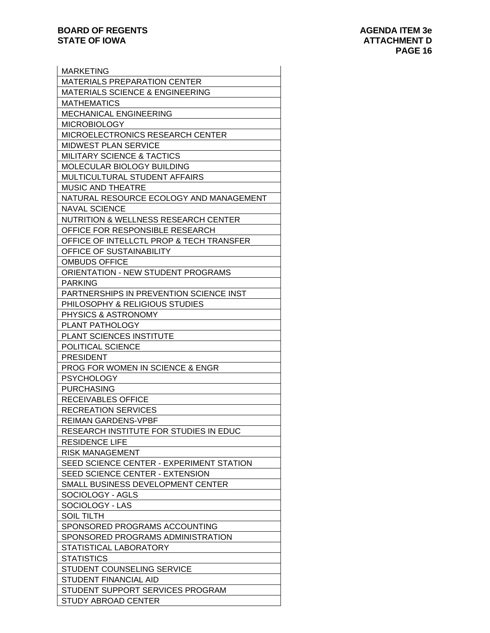| <b>MARKETING</b>                                |
|-------------------------------------------------|
| <b>MATERIALS PREPARATION CENTER</b>             |
| <b>MATERIALS SCIENCE &amp; ENGINEERING</b>      |
| <b>MATHEMATICS</b>                              |
| <b>MECHANICAL ENGINEERING</b>                   |
| <b>MICROBIOLOGY</b>                             |
| <b>MICROELECTRONICS RESEARCH CENTER</b>         |
| <b>MIDWEST PLAN SERVICE</b>                     |
| <b>MILITARY SCIENCE &amp; TACTICS</b>           |
| MOLECULAR BIOLOGY BUILDING                      |
| MULTICULTURAL STUDENT AFFAIRS                   |
| <b>MUSIC AND THEATRE</b>                        |
| NATURAL RESOURCE ECOLOGY AND MANAGEMENT         |
|                                                 |
| <b>NAVAL SCIENCE</b>                            |
| <b>NUTRITION &amp; WELLNESS RESEARCH CENTER</b> |
| OFFICE FOR RESPONSIBLE RESEARCH                 |
| OFFICE OF INTELLCTL PROP & TECH TRANSFER        |
| OFFICE OF SUSTAINABILITY                        |
| <b>OMBUDS OFFICE</b>                            |
| <b>ORIENTATION - NEW STUDENT PROGRAMS</b>       |
| <b>PARKING</b>                                  |
| PARTNERSHIPS IN PREVENTION SCIENCE INST         |
| PHILOSOPHY & RELIGIOUS STUDIES                  |
| <b>PHYSICS &amp; ASTRONOMY</b>                  |
| <b>PLANT PATHOLOGY</b>                          |
| PLANT SCIENCES INSTITUTE                        |
| POLITICAL SCIENCE                               |
| <b>PRESIDENT</b>                                |
| <b>PROG FOR WOMEN IN SCIENCE &amp; ENGR</b>     |
| <b>PSYCHOLOGY</b>                               |
| <b>PURCHASING</b>                               |
| RECEIVABLES OFFICE                              |
| <b>RECREATION SERVICES</b>                      |
| <b>REIMAN GARDENS-VPBF</b>                      |
| RESEARCH INSTITUTE FOR STUDIES IN EDUC          |
| <b>RESIDENCE LIFE</b>                           |
| <b>RISK MANAGEMENT</b>                          |
|                                                 |
| SEED SCIENCE CENTER - EXPERIMENT STATION        |
| SEED SCIENCE CENTER - EXTENSION                 |
| SMALL BUSINESS DEVELOPMENT CENTER               |
| SOCIOLOGY - AGLS                                |
| SOCIOLOGY - LAS                                 |
| SOIL TILTH                                      |
| SPONSORED PROGRAMS ACCOUNTING                   |
| SPONSORED PROGRAMS ADMINISTRATION               |
| STATISTICAL LABORATORY                          |
| <b>STATISTICS</b>                               |
| STUDENT COUNSELING SERVICE                      |
| STUDENT FINANCIAL AID                           |
| STUDENT SUPPORT SERVICES PROGRAM                |
| STUDY ABROAD CENTER                             |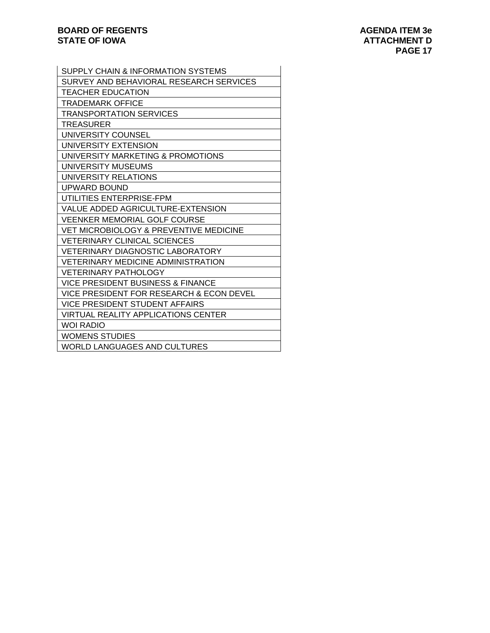| SUPPLY CHAIN & INFORMATION SYSTEMS           |
|----------------------------------------------|
| SURVEY AND BEHAVIORAL RESEARCH SERVICES      |
| <b>TEACHER EDUCATION</b>                     |
| TRADEMARK OFFICE                             |
| <b>TRANSPORTATION SERVICES</b>               |
| <b>TREASURER</b>                             |
| UNIVERSITY COUNSEL                           |
| UNIVERSITY EXTENSION                         |
| UNIVERSITY MARKETING & PROMOTIONS            |
| UNIVERSITY MUSEUMS                           |
| UNIVERSITY RELATIONS                         |
| UPWARD BOUND                                 |
| UTILITIES ENTERPRISE-FPM                     |
| VALUE ADDED AGRICULTURE-EXTENSION            |
| VEENKER MEMORIAL GOLF COURSE                 |
| VET MICROBIOLOGY & PREVENTIVE MEDICINE       |
| <b>VETERINARY CLINICAL SCIENCES</b>          |
| <b>VETERINARY DIAGNOSTIC LABORATORY</b>      |
| <b>VETERINARY MEDICINE ADMINISTRATION</b>    |
| <b>VETERINARY PATHOLOGY</b>                  |
| <b>VICE PRESIDENT BUSINESS &amp; FINANCE</b> |
| VICE PRESIDENT FOR RESEARCH & ECON DEVEL     |
| <b>VICE PRESIDENT STUDENT AFFAIRS</b>        |
| <b>VIRTUAL REALITY APPLICATIONS CENTER</b>   |
| WOI RADIO                                    |
| <b>WOMENS STUDIES</b>                        |
| WORLD LANGUAGES AND CULTURES                 |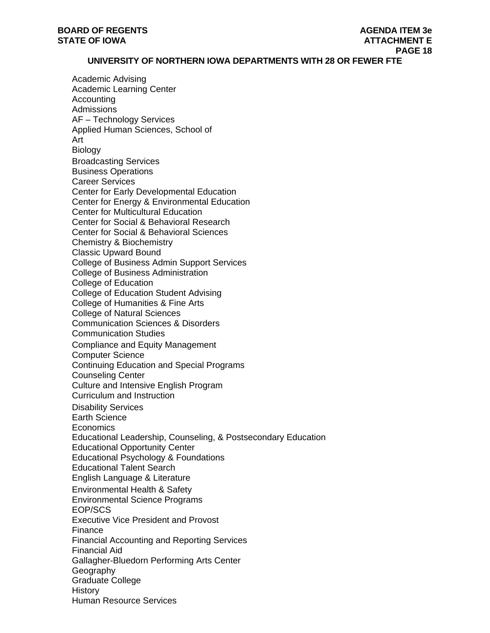#### **UNIVERSITY OF NORTHERN IOWA DEPARTMENTS WITH 28 OR FEWER FTE**

Academic Advising Academic Learning Center Accounting Admissions AF – Technology Services Applied Human Sciences, School of Art Biology Broadcasting Services Business Operations Career Services Center for Early Developmental Education Center for Energy & Environmental Education Center for Multicultural Education Center for Social & Behavioral Research Center for Social & Behavioral Sciences Chemistry & Biochemistry Classic Upward Bound College of Business Admin Support Services College of Business Administration College of Education College of Education Student Advising College of Humanities & Fine Arts College of Natural Sciences Communication Sciences & Disorders Communication Studies Compliance and Equity Management Computer Science Continuing Education and Special Programs Counseling Center Culture and Intensive English Program Curriculum and Instruction Disability Services Earth Science **Economics** Educational Leadership, Counseling, & Postsecondary Education Educational Opportunity Center Educational Psychology & Foundations Educational Talent Search English Language & Literature Environmental Health & Safety Environmental Science Programs EOP/SCS Executive Vice President and Provost Finance Financial Accounting and Reporting Services Financial Aid Gallagher-Bluedorn Performing Arts Center Geography Graduate College **History** Human Resource Services